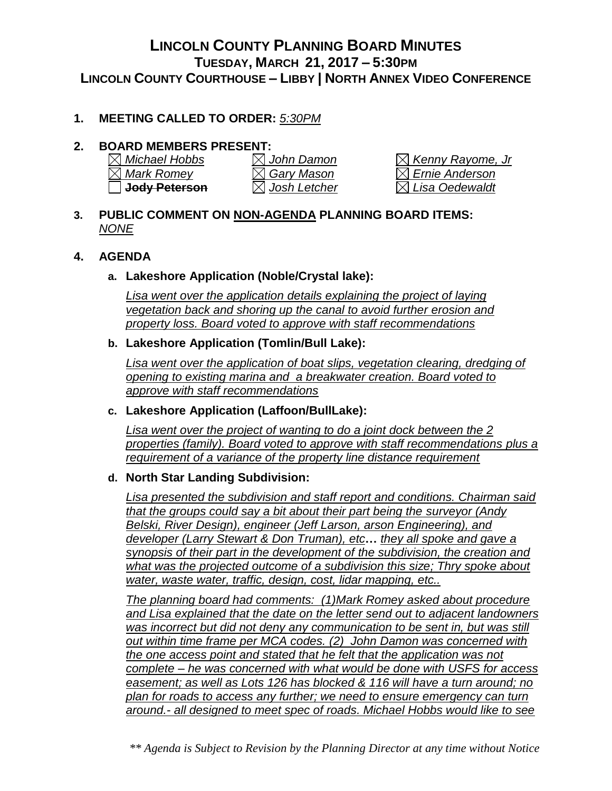# **LINCOLN COUNTY PLANNING BOARD MINUTES TUESDAY, MARCH 21, 2017 – 5:30PM LINCOLN COUNTY COURTHOUSE – LIBBY | NORTH ANNEX VIDEO CONFERENCE**

# **1. MEETING CALLED TO ORDER:** *5:30PM*

# **2. BOARD MEMBERS PRESENT:**

| $\boxtimes$ Michael Hobbs |
|---------------------------|
| $\boxtimes$ Mark Romey    |
| □ Jody Peterson           |

*Michael Hobbs John Damon Kenny Rayome, Jr Mark Romey Gary Mason Ernie Anderson*  $\boxtimes$  Lisa Oedewaldt

#### **3. PUBLIC COMMENT ON NON-AGENDA PLANNING BOARD ITEMS:**  *NONE*

## **4. AGENDA**

## **a. Lakeshore Application (Noble/Crystal lake):**

*Lisa went over the application details explaining the project of laying vegetation back and shoring up the canal to avoid further erosion and property loss. Board voted to approve with staff recommendations*

#### **b. Lakeshore Application (Tomlin/Bull Lake):**

*Lisa went over the application of boat slips, vegetation clearing, dredging of opening to existing marina and a breakwater creation. Board voted to approve with staff recommendations*

#### **c. Lakeshore Application (Laffoon/BullLake):**

*Lisa went over the project of wanting to do a joint dock between the 2 properties (family). Board voted to approve with staff recommendations plus a requirement of a variance of the property line distance requirement*

# **d. North Star Landing Subdivision:**

*Lisa presented the subdivision and staff report and conditions. Chairman said that the groups could say a bit about their part being the surveyor (Andy Belski, River Design), engineer (Jeff Larson, arson Engineering), and developer (Larry Stewart & Don Truman), etc***…** *they all spoke and gave a synopsis of their part in the development of the subdivision, the creation and what was the projected outcome of a subdivision this size; Thry spoke about water, waste water, traffic, design, cost, lidar mapping, etc..*

*The planning board had comments: (1)Mark Romey asked about procedure and Lisa explained that the date on the letter send out to adjacent landowners*  was incorrect but did not deny any communication to be sent in, but was still *out within time frame per MCA codes. (2) John Damon was concerned with the one access point and stated that he felt that the application was not complete – he was concerned with what would be done with USFS for access easement; as well as Lots 126 has blocked & 116 will have a turn around; no plan for roads to access any further; we need to ensure emergency can turn around.- all designed to meet spec of roads. Michael Hobbs would like to see* 

*<sup>\*\*</sup> Agenda is Subject to Revision by the Planning Director at any time without Notice*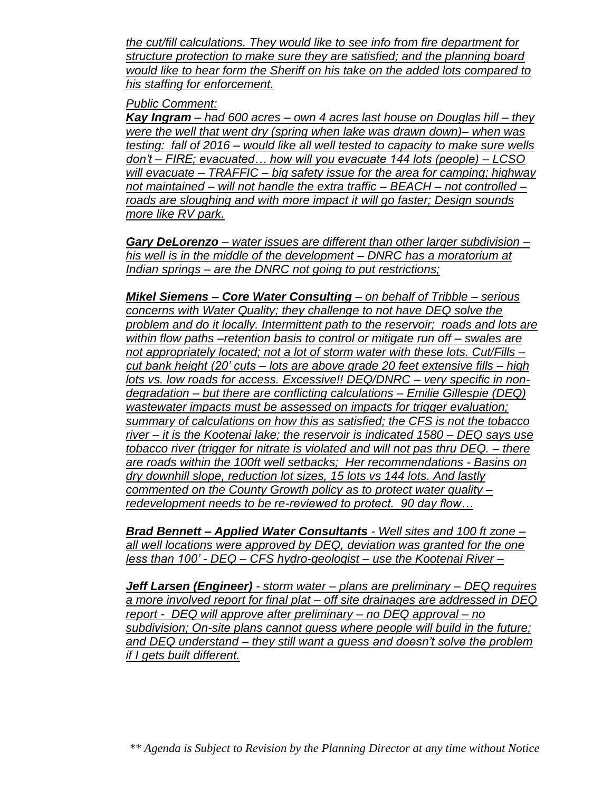*the cut/fill calculations. They would like to see info from fire department for structure protection to make sure they are satisfied; and the planning board would like to hear form the Sheriff on his take on the added lots compared to his staffing for enforcement.*

#### *Public Comment:*

*Kay Ingram – had 600 acres – own 4 acres last house on Douglas hill – they were the well that went dry (spring when lake was drawn down)– when was testing: fall of 2016 – would like all well tested to capacity to make sure wells don't – FIRE; evacuated… how will you evacuate 144 lots (people) – LCSO will evacuate – TRAFFIC – big safety issue for the area for camping; highway not maintained – will not handle the extra traffic – BEACH – not controlled – roads are sloughing and with more impact it will go faster; Design sounds more like RV park.*

*Gary DeLorenzo – water issues are different than other larger subdivision – his well is in the middle of the development – DNRC has a moratorium at Indian springs – are the DNRC not going to put restrictions;* 

*Mikel Siemens – Core Water Consulting – on behalf of Tribble – serious concerns with Water Quality; they challenge to not have DEQ solve the problem and do it locally. Intermittent path to the reservoir; roads and lots are within flow paths –retention basis to control or mitigate run off – swales are not appropriately located; not a lot of storm water with these lots. Cut/Fills – cut bank height (20' cuts – lots are above grade 20 feet extensive fills – high lots vs. low roads for access. Excessive!! DEQ/DNRC – very specific in nondegradation – but there are conflicting calculations – Emilie Gillespie (DEQ) wastewater impacts must be assessed on impacts for trigger evaluation; summary of calculations on how this as satisfied; the CFS is not the tobacco river – it is the Kootenai lake; the reservoir is indicated 1580 – DEQ says use tobacco river (trigger for nitrate is violated and will not pas thru DEQ. – there are roads within the 100ft well setbacks; Her recommendations - Basins on dry downhill slope, reduction lot sizes, 15 lots vs 144 lots. And lastly commented on the County Growth policy as to protect water quality – redevelopment needs to be re-reviewed to protect. 90 day flow…* 

*Brad Bennett – Applied Water Consultants - Well sites and 100 ft zone – all well locations were approved by DEQ, deviation was granted for the one less than 100' - DEQ – CFS hydro-geologist – use the Kootenai River –*

*Jeff Larsen (Engineer) - storm water – plans are preliminary – DEQ requires a more involved report for final plat – off site drainages are addressed in DEQ report - DEQ will approve after preliminary – no DEQ approval – no subdivision; On-site plans cannot guess where people will build in the future; and DEQ understand – they still want a guess and doesn't solve the problem if I gets built different.*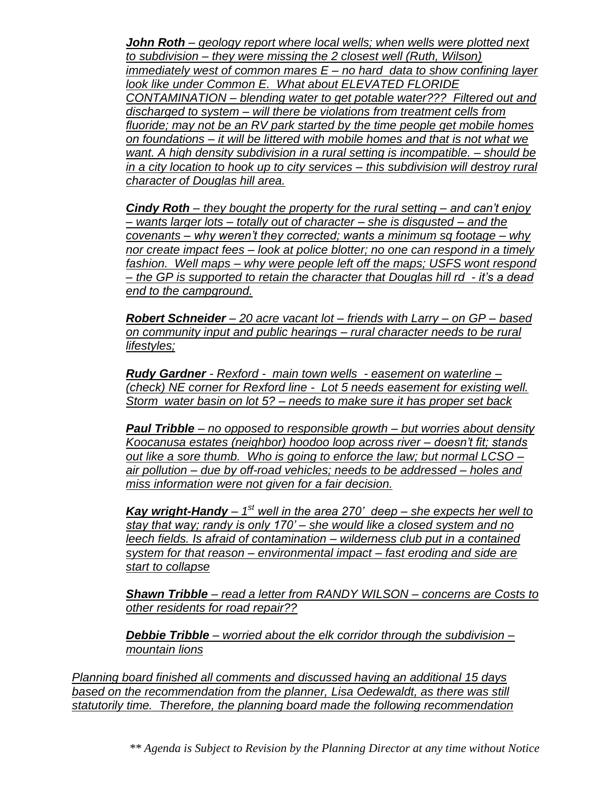*John Roth – geology report where local wells; when wells were plotted next to subdivision – they were missing the 2 closest well (Ruth, Wilson) immediately west of common mares E – no hard data to show confining layer look like under Common E. What about ELEVATED FLORIDE CONTAMINATION – blending water to get potable water??? Filtered out and discharged to system – will there be violations from treatment cells from fluoride; may not be an RV park started by the time people get mobile homes on foundations – it will be littered with mobile homes and that is not what we want. A high density subdivision in a rural setting is incompatible. – should be in a city location to hook up to city services – this subdivision will destroy rural character of Douglas hill area.* 

*Cindy Roth – they bought the property for the rural setting – and can't enjoy – wants larger lots – totally out of character – she is disgusted – and the covenants – why weren't they corrected; wants a minimum sq footage – why nor create impact fees – look at police blotter; no one can respond in a timely fashion. Well maps – why were people left off the maps; USFS wont respond – the GP is supported to retain the character that Douglas hill rd - it's a dead end to the campground.*

*Robert Schneider – 20 acre vacant lot – friends with Larry – on GP – based on community input and public hearings – rural character needs to be rural lifestyles;* 

*Rudy Gardner - Rexford - main town wells - easement on waterline – (check) NE corner for Rexford line - Lot 5 needs easement for existing well. Storm water basin on lot 5? – needs to make sure it has proper set back*

*Paul Tribble – no opposed to responsible growth – but worries about density Koocanusa estates (neighbor) hoodoo loop across river – doesn't fit; stands out like a sore thumb. Who is going to enforce the law; but normal LCSO – air pollution – due by off-road vehicles; needs to be addressed – holes and miss information were not given for a fair decision.*

Kay wright-Handy – 1<sup>st</sup> well in the area 270' deep – she expects her well to *stay that way; randy is only 170' – she would like a closed system and no leech fields. Is afraid of contamination – wilderness club put in a contained system for that reason – environmental impact – fast eroding and side are start to collapse* 

*Shawn Tribble – read a letter from RANDY WILSON – concerns are Costs to other residents for road repair??* 

*Debbie Tribble – worried about the elk corridor through the subdivision – mountain lions*

*Planning board finished all comments and discussed having an additional 15 days based on the recommendation from the planner, Lisa Oedewaldt, as there was still statutorily time. Therefore, the planning board made the following recommendation*